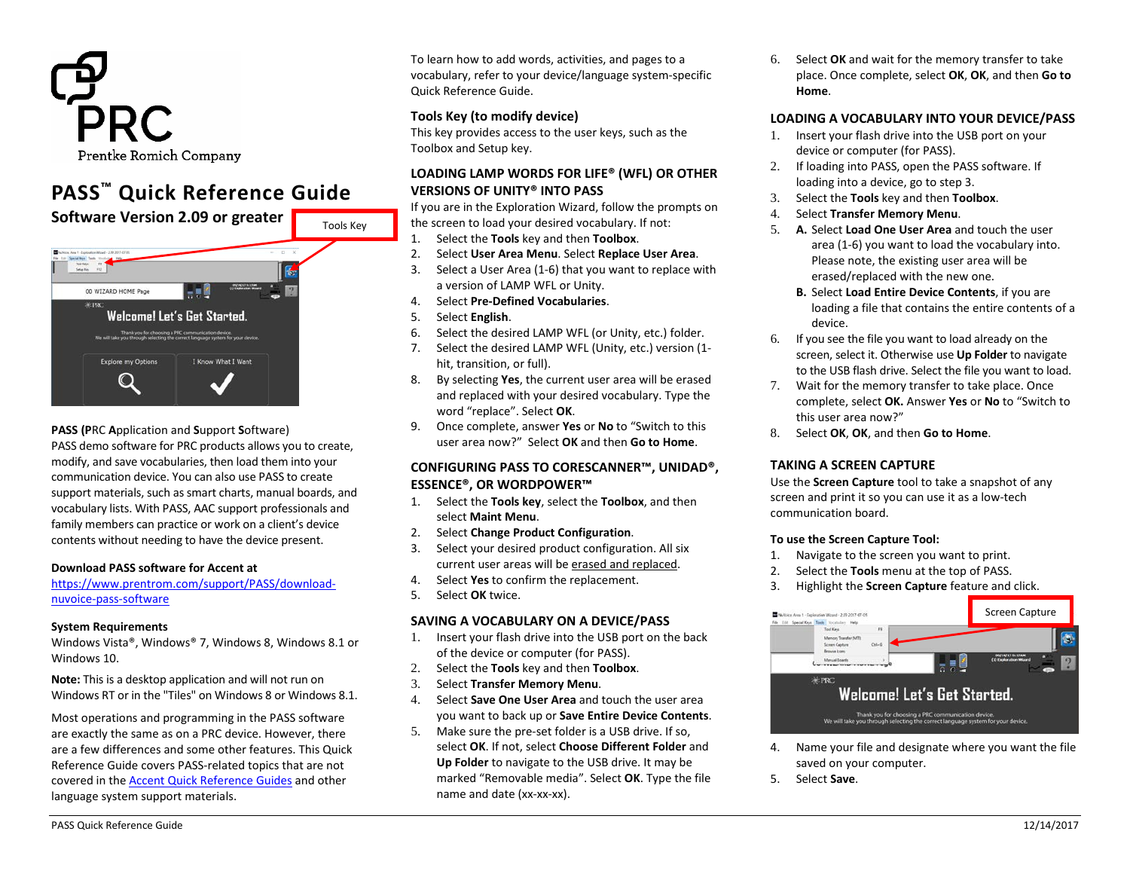

# **PASS™ Quick Reference Guide**



#### **PASS (P**RC **A**pplication and **S**upport **S**oftware) PASS demo software for PRC products allows you to create, modify, and save vocabularies, then load them into your communication device. You can also use PASS to create support materials, such as smart charts, manual boards, and vocabulary lists. With PASS, AAC support professionals and family members can practice or work on a client's device contents without needing to have the device present.

#### **Download PASS software for Accent at**

## [https://www.prentrom.com/support/PASS/download](https://www.prentrom.com/support/PASS/download-nuvoice-pass-software)[nuvoice-pass-software](https://www.prentrom.com/support/PASS/download-nuvoice-pass-software)

#### **System Requirements**

Windows Vista®, Windows® 7, Windows 8, Windows 8.1 or Windows 10.

**Note:** This is a desktop application and will not run on Windows RT or in the "Tiles" on Windows 8 or Windows 8.1.

Most operations and programming in the PASS software are exactly the same as on a PRC device. However, there are a few differences and some other features. This Quick Reference Guide covers PASS-related topics that are not covered in th[e Accent Quick Reference Guides](https://www.prentrom.com/support/accent/download-accent-800-quick-reference-2) and other language system support materials.

To learn how to add words, activities, and pages to a vocabulary, refer to your device/language system-specific Quick Reference Guide.

## **Tools Key (to modify device)**

This key provides access to the user keys, such as the Toolbox and Setup key.

## **LOADING LAMP WORDS FOR LIFE® (WFL) OR OTHER VERSIONS OF UNITY® INTO PASS**

If you are in the Exploration Wizard, follow the prompts on the screen to load your desired vocabulary. If not:

- 1. Select the **Tools** key and then **Toolbox**.
- 2. Select **User Area Menu**. Select **Replace User Area**.
- 3. Select a User Area (1-6) that you want to replace with a version of LAMP WFL or Unity.
- 4. Select **Pre-Defined Vocabularies**.
- 5. Select **English**.
- 6. Select the desired LAMP WFL (or Unity, etc.) folder.
- 7. Select the desired LAMP WFL (Unity, etc.) version (1 hit, transition, or full).
- 8. By selecting **Yes**, the current user area will be erased and replaced with your desired vocabulary. Type the word "replace". Select **OK**.
- 9. Once complete, answer **Yes** or **No** to "Switch to this user area now?" Select **OK** and then **Go to Home**.

## **CONFIGURING PASS TO CORESCANNER™, UNIDAD®, ESSENCE®, OR WORDPOWER™**

- 1. Select the **Tools key**, select the **Toolbox**, and then select **Maint Menu**.
- 2. Select **Change Product Configuration**.
- 3. Select your desired product configuration. All six current user areas will be erased and replaced.
- 4. Select **Yes** to confirm the replacement.
- 5. Select **OK** twice.

#### **SAVING A VOCABULARY ON A DEVICE/PASS**

- 1. Insert your flash drive into the USB port on the back of the device or computer (for PASS).
- 2. Select the **Tools** key and then **Toolbox**.
- 3. Select **Transfer Memory Menu**.
- 4. Select **Save One User Area** and touch the user area you want to back up or **Save Entire Device Contents**.
- 5. Make sure the pre-set folder is a USB drive. If so, select **OK**. If not, select **Choose Different Folder** and **Up Folder** to navigate to the USB drive. It may be marked "Removable media". Select **OK**. Type the file name and date (xx-xx-xx).

6. Select **OK** and wait for the memory transfer to take place. Once complete, select **OK**, **OK**, and then **Go to Home**.

## **LOADING A VOCABULARY INTO YOUR DEVICE/PASS**

- 1. Insert your flash drive into the USB port on your device or computer (for PASS).
- 2. If loading into PASS, open the PASS software. If loading into a device, go to step 3.
- 3. Select the **Tools** key and then **Toolbox**.
- 4. Select **Transfer Memory Menu**.
- 5. **A.** Select **Load One User Area** and touch the user area (1-6) you want to load the vocabulary into. Please note, the existing user area will be erased/replaced with the new one.
	- **B.** Select **Load Entire Device Contents**, if you are loading a file that contains the entire contents of a device.
- 6. If you see the file you want to load already on the screen, select it. Otherwise use **Up Folder** to navigate to the USB flash drive. Select the file you want to load.
- 7. Wait for the memory transfer to take place. Once complete, select **OK.** Answer **Yes** or **No** to "Switch to this user area now?"
- 8. Select **OK**, **OK**, and then **Go to Home**.

## **TAKING A SCREEN CAPTURE**

Use the **Screen Capture** tool to take a snapshot of any screen and print it so you can use it as a low-tech communication board.

#### **To use the Screen Capture Tool:**

- 1. Navigate to the screen you want to print.
- 2. Select the **Tools** menu at the top of PASS.
- 3. Highlight the **Screen Capture** feature and click.



- 4. Name your file and designate where you want the file saved on your computer.
- 5. Select **Save**.